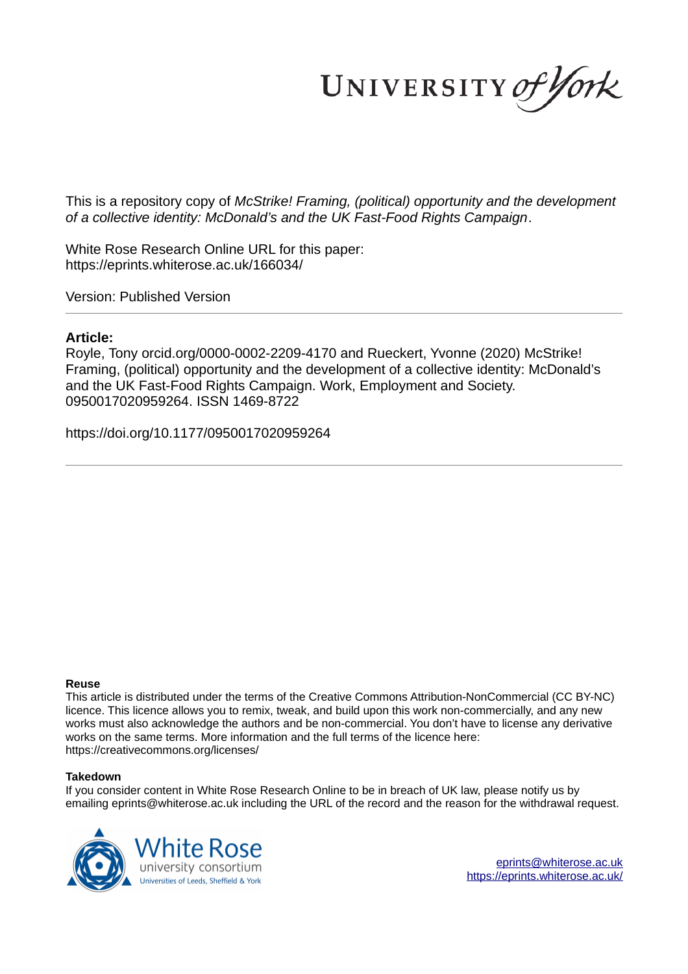UNIVERSITY of York

This is a repository copy of *McStrike! Framing, (political) opportunity and the development of a collective identity: McDonald's and the UK Fast-Food Rights Campaign*.

White Rose Research Online URL for this paper: https://eprints.whiterose.ac.uk/166034/

Version: Published Version

# **Article:**

Royle, Tony orcid.org/0000-0002-2209-4170 and Rueckert, Yvonne (2020) McStrike! Framing, (political) opportunity and the development of a collective identity: McDonald's and the UK Fast-Food Rights Campaign. Work, Employment and Society. 0950017020959264. ISSN 1469-8722

https://doi.org/10.1177/0950017020959264

### **Reuse**

This article is distributed under the terms of the Creative Commons Attribution-NonCommercial (CC BY-NC) licence. This licence allows you to remix, tweak, and build upon this work non-commercially, and any new works must also acknowledge the authors and be non-commercial. You don't have to license any derivative works on the same terms. More information and the full terms of the licence here: https://creativecommons.org/licenses/

## **Takedown**

If you consider content in White Rose Research Online to be in breach of UK law, please notify us by emailing eprints@whiterose.ac.uk including the URL of the record and the reason for the withdrawal request.



eprints@whiterose.ac.uk https://eprints.whiterose.ac.uk/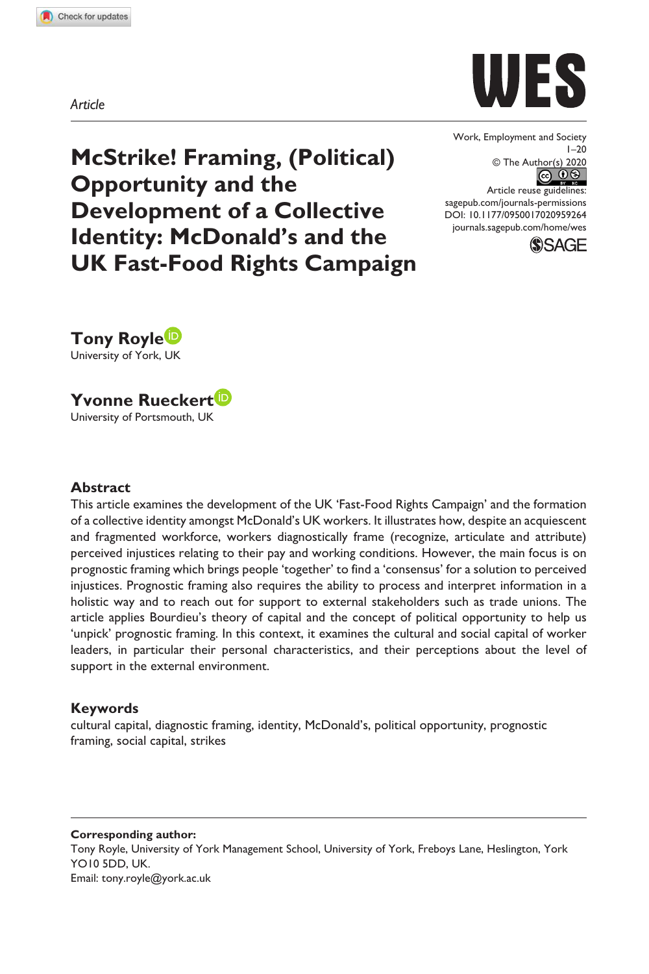**959264** WES0010.1177/0950017020959264Work, employment and society**Royle and Rueckert**



**McStrike! Framing, (Political) Opportunity and the Development of a Collective Identity: McDonald's and the UK Fast-Food Rights Campaign** Work, Employment and Society  $1 - 20$ © The Author(s) 2020 Article reuse guidelines:

sagepub.com/journals-permissions DOI: 10.1177/0950017020959264 journals.sagepub.com/home/wes



**Tony Royle** University of York, UK

**Yvonne Rueckert**

University of Portsmouth, UK

#### **Abstract**

This article examines the development of the UK 'Fast-Food Rights Campaign' and the formation of a collective identity amongst McDonald's UK workers. It illustrates how, despite an acquiescent and fragmented workforce, workers diagnostically frame (recognize, articulate and attribute) perceived injustices relating to their pay and working conditions. However, the main focus is on prognostic framing which brings people 'together' to find a 'consensus' for a solution to perceived injustices. Prognostic framing also requires the ability to process and interpret information in a holistic way and to reach out for support to external stakeholders such as trade unions. The article applies Bourdieu's theory of capital and the concept of political opportunity to help us 'unpick' prognostic framing. In this context, it examines the cultural and social capital of worker leaders, in particular their personal characteristics, and their perceptions about the level of support in the external environment.

### **Keywords**

cultural capital, diagnostic framing, identity, McDonald's, political opportunity, prognostic framing, social capital, strikes

**Corresponding author:** Tony Royle, University of York Management School, University of York, Freboys Lane, Heslington, York YO10 5DD, UK. Email: tony.royle@york.ac.uk

*Article*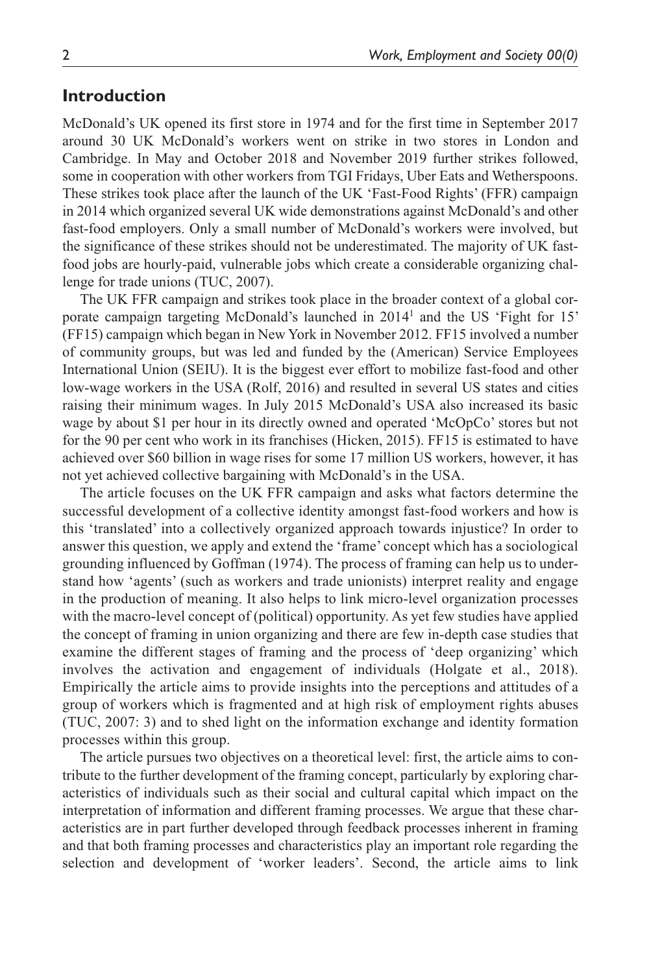## **Introduction**

McDonald's UK opened its first store in 1974 and for the first time in September 2017 around 30 UK McDonald's workers went on strike in two stores in London and Cambridge. In May and October 2018 and November 2019 further strikes followed, some in cooperation with other workers from TGI Fridays, Uber Eats and Wetherspoons. These strikes took place after the launch of the UK 'Fast-Food Rights' (FFR) campaign in 2014 which organized several UK wide demonstrations against McDonald's and other fast-food employers. Only a small number of McDonald's workers were involved, but the significance of these strikes should not be underestimated. The majority of UK fastfood jobs are hourly-paid, vulnerable jobs which create a considerable organizing challenge for trade unions (TUC, 2007).

The UK FFR campaign and strikes took place in the broader context of a global corporate campaign targeting McDonald's launched in 2014<sup>1</sup> and the US 'Fight for 15' (FF15) campaign which began in New York in November 2012. FF15 involved a number of community groups, but was led and funded by the (American) Service Employees International Union (SEIU). It is the biggest ever effort to mobilize fast-food and other low-wage workers in the USA (Rolf, 2016) and resulted in several US states and cities raising their minimum wages. In July 2015 McDonald's USA also increased its basic wage by about \$1 per hour in its directly owned and operated 'McOpCo' stores but not for the 90 per cent who work in its franchises (Hicken, 2015). FF15 is estimated to have achieved over \$60 billion in wage rises for some 17 million US workers, however, it has not yet achieved collective bargaining with McDonald's in the USA.

The article focuses on the UK FFR campaign and asks what factors determine the successful development of a collective identity amongst fast-food workers and how is this 'translated' into a collectively organized approach towards injustice? In order to answer this question, we apply and extend the 'frame' concept which has a sociological grounding influenced by Goffman (1974). The process of framing can help us to understand how 'agents' (such as workers and trade unionists) interpret reality and engage in the production of meaning. It also helps to link micro-level organization processes with the macro-level concept of (political) opportunity. As yet few studies have applied the concept of framing in union organizing and there are few in-depth case studies that examine the different stages of framing and the process of 'deep organizing' which involves the activation and engagement of individuals (Holgate et al., 2018). Empirically the article aims to provide insights into the perceptions and attitudes of a group of workers which is fragmented and at high risk of employment rights abuses (TUC, 2007: 3) and to shed light on the information exchange and identity formation processes within this group.

The article pursues two objectives on a theoretical level: first, the article aims to contribute to the further development of the framing concept, particularly by exploring characteristics of individuals such as their social and cultural capital which impact on the interpretation of information and different framing processes. We argue that these characteristics are in part further developed through feedback processes inherent in framing and that both framing processes and characteristics play an important role regarding the selection and development of 'worker leaders'. Second, the article aims to link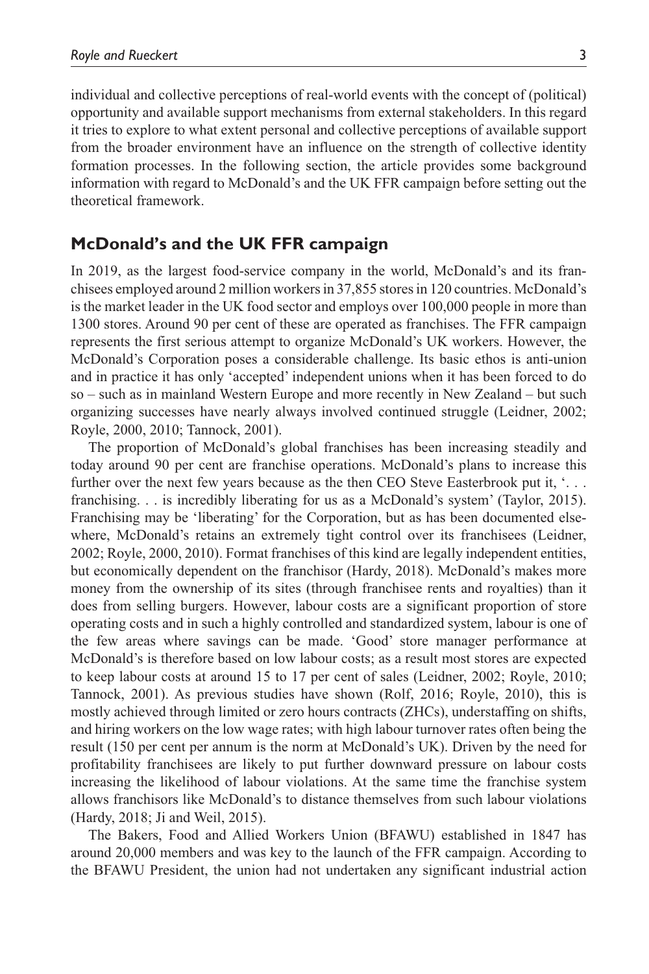individual and collective perceptions of real-world events with the concept of (political) opportunity and available support mechanisms from external stakeholders. In this regard it tries to explore to what extent personal and collective perceptions of available support from the broader environment have an influence on the strength of collective identity formation processes. In the following section, the article provides some background information with regard to McDonald's and the UK FFR campaign before setting out the theoretical framework.

# **McDonald's and the UK FFR campaign**

In 2019, as the largest food-service company in the world, McDonald's and its franchisees employed around 2 million workers in 37,855 stores in 120 countries. McDonald's is the market leader in the UK food sector and employs over 100,000 people in more than 1300 stores. Around 90 per cent of these are operated as franchises. The FFR campaign represents the first serious attempt to organize McDonald's UK workers. However, the McDonald's Corporation poses a considerable challenge. Its basic ethos is anti-union and in practice it has only 'accepted' independent unions when it has been forced to do so – such as in mainland Western Europe and more recently in New Zealand – but such organizing successes have nearly always involved continued struggle (Leidner, 2002; Royle, 2000, 2010; Tannock, 2001).

The proportion of McDonald's global franchises has been increasing steadily and today around 90 per cent are franchise operations. McDonald's plans to increase this further over the next few years because as the then CEO Steve Easterbrook put it, '... franchising. . . is incredibly liberating for us as a McDonald's system' (Taylor, 2015). Franchising may be 'liberating' for the Corporation, but as has been documented elsewhere, McDonald's retains an extremely tight control over its franchisees (Leidner, 2002; Royle, 2000, 2010). Format franchises of this kind are legally independent entities, but economically dependent on the franchisor (Hardy, 2018). McDonald's makes more money from the ownership of its sites (through franchisee rents and royalties) than it does from selling burgers. However, labour costs are a significant proportion of store operating costs and in such a highly controlled and standardized system, labour is one of the few areas where savings can be made. 'Good' store manager performance at McDonald's is therefore based on low labour costs; as a result most stores are expected to keep labour costs at around 15 to 17 per cent of sales (Leidner, 2002; Royle, 2010; Tannock, 2001). As previous studies have shown (Rolf, 2016; Royle, 2010), this is mostly achieved through limited or zero hours contracts (ZHCs), understaffing on shifts, and hiring workers on the low wage rates; with high labour turnover rates often being the result (150 per cent per annum is the norm at McDonald's UK). Driven by the need for profitability franchisees are likely to put further downward pressure on labour costs increasing the likelihood of labour violations. At the same time the franchise system allows franchisors like McDonald's to distance themselves from such labour violations (Hardy, 2018; Ji and Weil, 2015).

The Bakers, Food and Allied Workers Union (BFAWU) established in 1847 has around 20,000 members and was key to the launch of the FFR campaign. According to the BFAWU President, the union had not undertaken any significant industrial action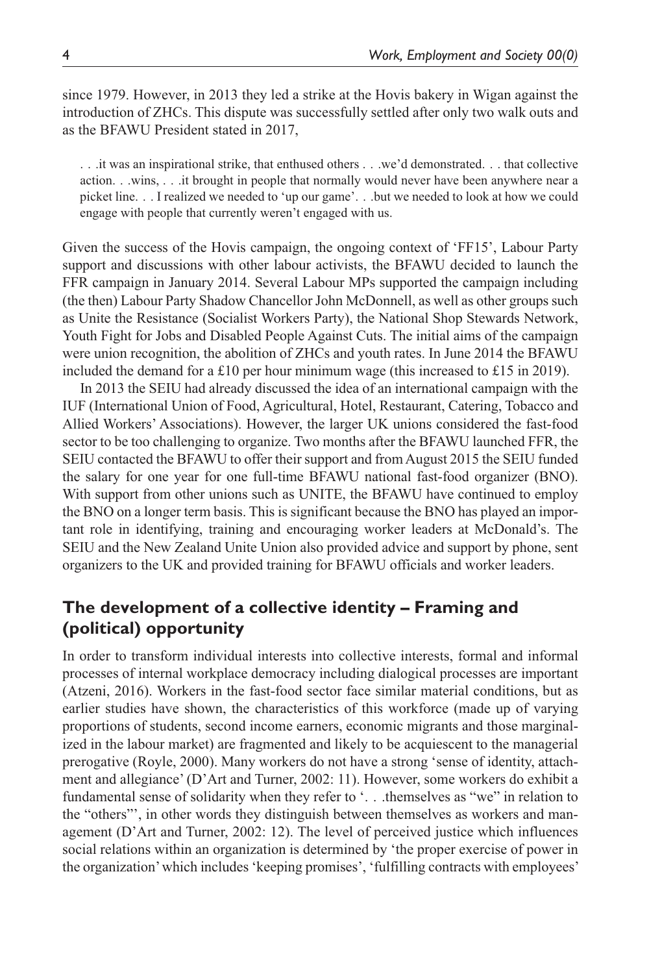since 1979. However, in 2013 they led a strike at the Hovis bakery in Wigan against the introduction of ZHCs. This dispute was successfully settled after only two walk outs and as the BFAWU President stated in 2017,

. . .it was an inspirational strike, that enthused others . . .we'd demonstrated. . . that collective action. . .wins, . . .it brought in people that normally would never have been anywhere near a picket line. . . I realized we needed to 'up our game'. . .but we needed to look at how we could engage with people that currently weren't engaged with us.

Given the success of the Hovis campaign, the ongoing context of 'FF15', Labour Party support and discussions with other labour activists, the BFAWU decided to launch the FFR campaign in January 2014. Several Labour MPs supported the campaign including (the then) Labour Party Shadow Chancellor John McDonnell, as well as other groups such as Unite the Resistance (Socialist Workers Party), the National Shop Stewards Network, Youth Fight for Jobs and Disabled People Against Cuts. The initial aims of the campaign were union recognition, the abolition of ZHCs and youth rates. In June 2014 the BFAWU included the demand for a £10 per hour minimum wage (this increased to £15 in 2019).

In 2013 the SEIU had already discussed the idea of an international campaign with the IUF (International Union of Food, Agricultural, Hotel, Restaurant, Catering, Tobacco and Allied Workers' Associations). However, the larger UK unions considered the fast-food sector to be too challenging to organize. Two months after the BFAWU launched FFR, the SEIU contacted the BFAWU to offer their support and from August 2015 the SEIU funded the salary for one year for one full-time BFAWU national fast-food organizer (BNO). With support from other unions such as UNITE, the BFAWU have continued to employ the BNO on a longer term basis. This is significant because the BNO has played an important role in identifying, training and encouraging worker leaders at McDonald's. The SEIU and the New Zealand Unite Union also provided advice and support by phone, sent organizers to the UK and provided training for BFAWU officials and worker leaders.

# **The development of a collective identity – Framing and (political) opportunity**

In order to transform individual interests into collective interests, formal and informal processes of internal workplace democracy including dialogical processes are important (Atzeni, 2016). Workers in the fast-food sector face similar material conditions, but as earlier studies have shown, the characteristics of this workforce (made up of varying proportions of students, second income earners, economic migrants and those marginalized in the labour market) are fragmented and likely to be acquiescent to the managerial prerogative (Royle, 2000). Many workers do not have a strong 'sense of identity, attachment and allegiance' (D'Art and Turner, 2002: 11). However, some workers do exhibit a fundamental sense of solidarity when they refer to '. . .themselves as "we" in relation to the "others"', in other words they distinguish between themselves as workers and management (D'Art and Turner, 2002: 12). The level of perceived justice which influences social relations within an organization is determined by 'the proper exercise of power in the organization' which includes 'keeping promises', 'fulfilling contracts with employees'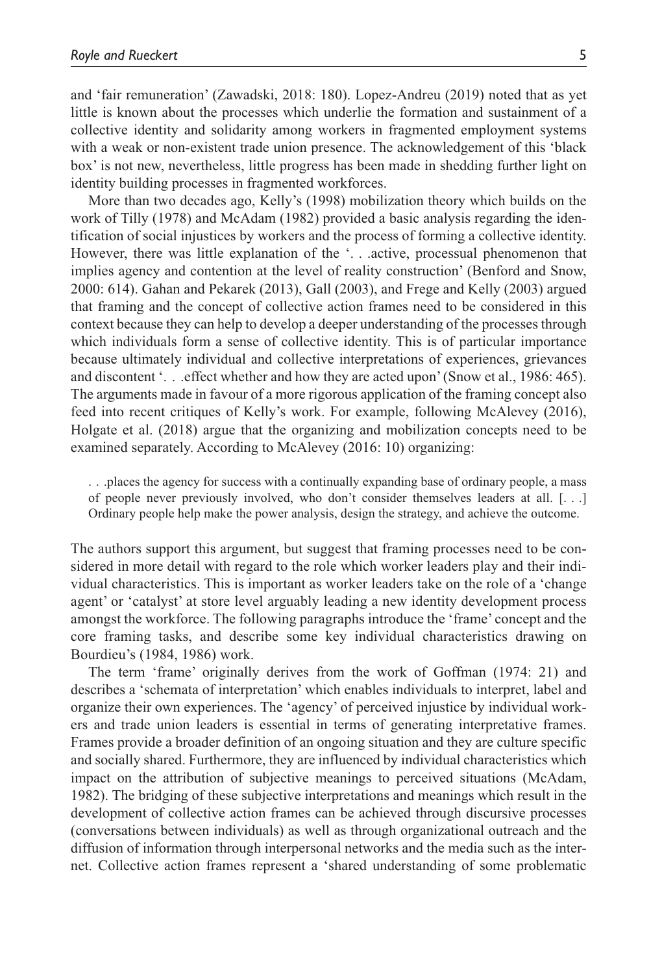and 'fair remuneration' (Zawadski, 2018: 180). Lopez-Andreu (2019) noted that as yet little is known about the processes which underlie the formation and sustainment of a collective identity and solidarity among workers in fragmented employment systems with a weak or non-existent trade union presence. The acknowledgement of this 'black box' is not new, nevertheless, little progress has been made in shedding further light on identity building processes in fragmented workforces.

More than two decades ago, Kelly's (1998) mobilization theory which builds on the work of Tilly (1978) and McAdam (1982) provided a basic analysis regarding the identification of social injustices by workers and the process of forming a collective identity. However, there was little explanation of the '. . .active, processual phenomenon that implies agency and contention at the level of reality construction' (Benford and Snow, 2000: 614). Gahan and Pekarek (2013), Gall (2003), and Frege and Kelly (2003) argued that framing and the concept of collective action frames need to be considered in this context because they can help to develop a deeper understanding of the processes through which individuals form a sense of collective identity. This is of particular importance because ultimately individual and collective interpretations of experiences, grievances and discontent '. . .effect whether and how they are acted upon' (Snow et al., 1986: 465). The arguments made in favour of a more rigorous application of the framing concept also feed into recent critiques of Kelly's work. For example, following McAlevey (2016), Holgate et al. (2018) argue that the organizing and mobilization concepts need to be examined separately. According to McAlevey (2016: 10) organizing:

. . .places the agency for success with a continually expanding base of ordinary people, a mass of people never previously involved, who don't consider themselves leaders at all. [. . .] Ordinary people help make the power analysis, design the strategy, and achieve the outcome.

The authors support this argument, but suggest that framing processes need to be considered in more detail with regard to the role which worker leaders play and their individual characteristics. This is important as worker leaders take on the role of a 'change agent' or 'catalyst' at store level arguably leading a new identity development process amongst the workforce. The following paragraphs introduce the 'frame' concept and the core framing tasks, and describe some key individual characteristics drawing on Bourdieu's (1984, 1986) work.

The term 'frame' originally derives from the work of Goffman (1974: 21) and describes a 'schemata of interpretation' which enables individuals to interpret, label and organize their own experiences. The 'agency' of perceived injustice by individual workers and trade union leaders is essential in terms of generating interpretative frames. Frames provide a broader definition of an ongoing situation and they are culture specific and socially shared. Furthermore, they are influenced by individual characteristics which impact on the attribution of subjective meanings to perceived situations (McAdam, 1982). The bridging of these subjective interpretations and meanings which result in the development of collective action frames can be achieved through discursive processes (conversations between individuals) as well as through organizational outreach and the diffusion of information through interpersonal networks and the media such as the internet. Collective action frames represent a 'shared understanding of some problematic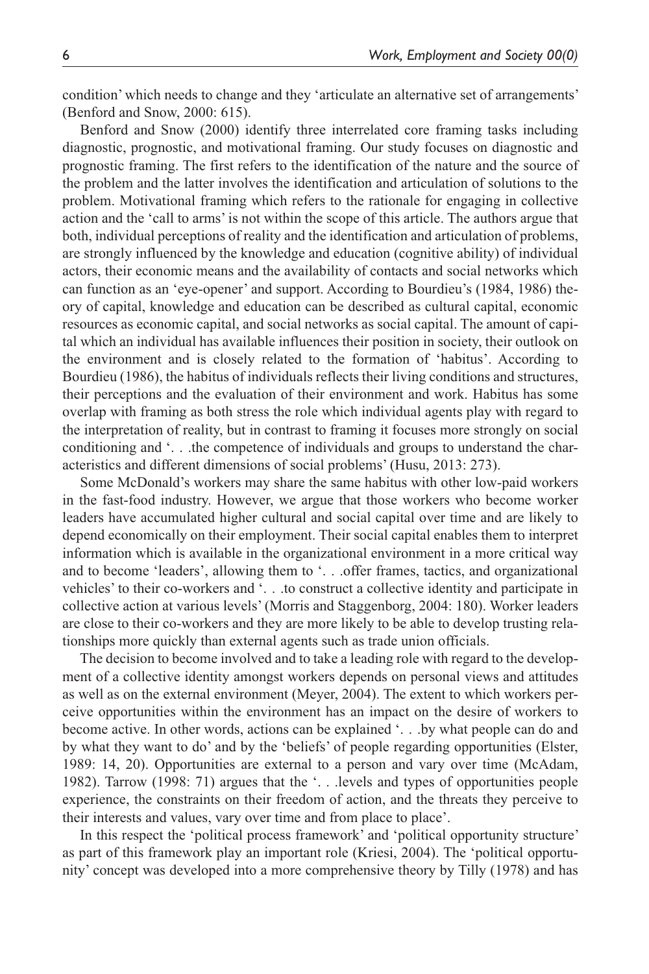condition' which needs to change and they 'articulate an alternative set of arrangements' (Benford and Snow, 2000: 615).

Benford and Snow (2000) identify three interrelated core framing tasks including diagnostic, prognostic, and motivational framing. Our study focuses on diagnostic and prognostic framing. The first refers to the identification of the nature and the source of the problem and the latter involves the identification and articulation of solutions to the problem. Motivational framing which refers to the rationale for engaging in collective action and the 'call to arms' is not within the scope of this article. The authors argue that both, individual perceptions of reality and the identification and articulation of problems, are strongly influenced by the knowledge and education (cognitive ability) of individual actors, their economic means and the availability of contacts and social networks which can function as an 'eye-opener' and support. According to Bourdieu's (1984, 1986) theory of capital, knowledge and education can be described as cultural capital, economic resources as economic capital, and social networks as social capital. The amount of capital which an individual has available influences their position in society, their outlook on the environment and is closely related to the formation of 'habitus'. According to Bourdieu (1986), the habitus of individuals reflects their living conditions and structures, their perceptions and the evaluation of their environment and work. Habitus has some overlap with framing as both stress the role which individual agents play with regard to the interpretation of reality, but in contrast to framing it focuses more strongly on social conditioning and '. . .the competence of individuals and groups to understand the characteristics and different dimensions of social problems' (Husu, 2013: 273).

Some McDonald's workers may share the same habitus with other low-paid workers in the fast-food industry. However, we argue that those workers who become worker leaders have accumulated higher cultural and social capital over time and are likely to depend economically on their employment. Their social capital enables them to interpret information which is available in the organizational environment in a more critical way and to become 'leaders', allowing them to '. . .offer frames, tactics, and organizational vehicles' to their co-workers and '. . .to construct a collective identity and participate in collective action at various levels' (Morris and Staggenborg, 2004: 180). Worker leaders are close to their co-workers and they are more likely to be able to develop trusting relationships more quickly than external agents such as trade union officials.

The decision to become involved and to take a leading role with regard to the development of a collective identity amongst workers depends on personal views and attitudes as well as on the external environment (Meyer, 2004). The extent to which workers perceive opportunities within the environment has an impact on the desire of workers to become active. In other words, actions can be explained '. . .by what people can do and by what they want to do' and by the 'beliefs' of people regarding opportunities (Elster, 1989: 14, 20). Opportunities are external to a person and vary over time (McAdam, 1982). Tarrow (1998: 71) argues that the '. . .levels and types of opportunities people experience, the constraints on their freedom of action, and the threats they perceive to their interests and values, vary over time and from place to place'.

In this respect the 'political process framework' and 'political opportunity structure' as part of this framework play an important role (Kriesi, 2004). The 'political opportunity' concept was developed into a more comprehensive theory by Tilly (1978) and has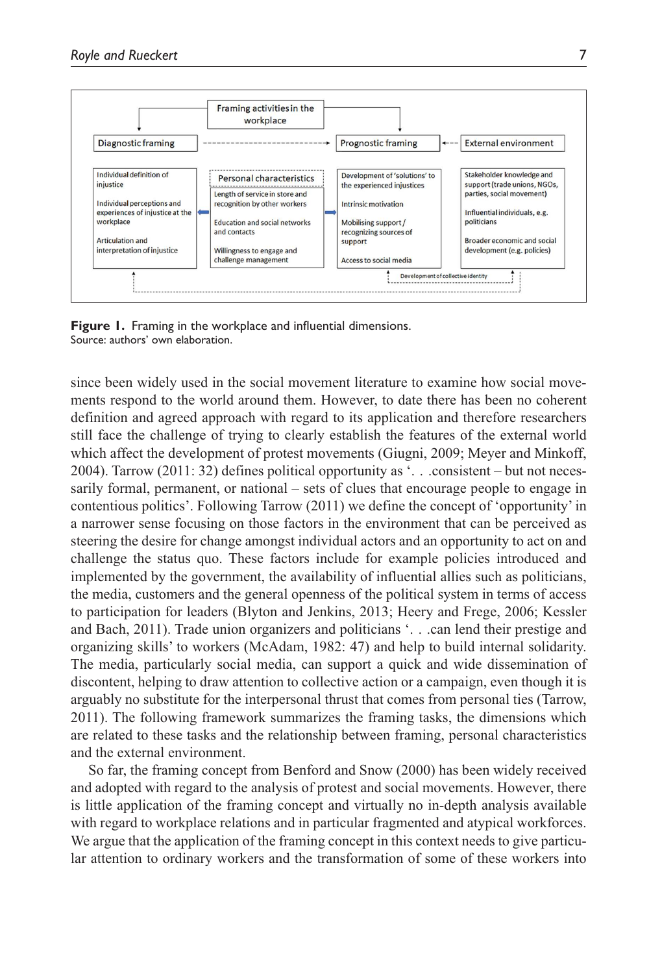

**Figure 1.** Framing in the workplace and influential dimensions. Source: authors' own elaboration.

since been widely used in the social movement literature to examine how social movements respond to the world around them. However, to date there has been no coherent definition and agreed approach with regard to its application and therefore researchers still face the challenge of trying to clearly establish the features of the external world which affect the development of protest movements (Giugni, 2009; Meyer and Minkoff, 2004). Tarrow (2011: 32) defines political opportunity as '. . .consistent – but not necessarily formal, permanent, or national – sets of clues that encourage people to engage in contentious politics'. Following Tarrow (2011) we define the concept of 'opportunity' in a narrower sense focusing on those factors in the environment that can be perceived as steering the desire for change amongst individual actors and an opportunity to act on and challenge the status quo. These factors include for example policies introduced and implemented by the government, the availability of influential allies such as politicians, the media, customers and the general openness of the political system in terms of access to participation for leaders (Blyton and Jenkins, 2013; Heery and Frege, 2006; Kessler and Bach, 2011). Trade union organizers and politicians '. . .can lend their prestige and organizing skills' to workers (McAdam, 1982: 47) and help to build internal solidarity. The media, particularly social media, can support a quick and wide dissemination of discontent, helping to draw attention to collective action or a campaign, even though it is arguably no substitute for the interpersonal thrust that comes from personal ties (Tarrow, 2011). The following framework summarizes the framing tasks, the dimensions which are related to these tasks and the relationship between framing, personal characteristics and the external environment.

So far, the framing concept from Benford and Snow (2000) has been widely received and adopted with regard to the analysis of protest and social movements. However, there is little application of the framing concept and virtually no in-depth analysis available with regard to workplace relations and in particular fragmented and atypical workforces. We argue that the application of the framing concept in this context needs to give particular attention to ordinary workers and the transformation of some of these workers into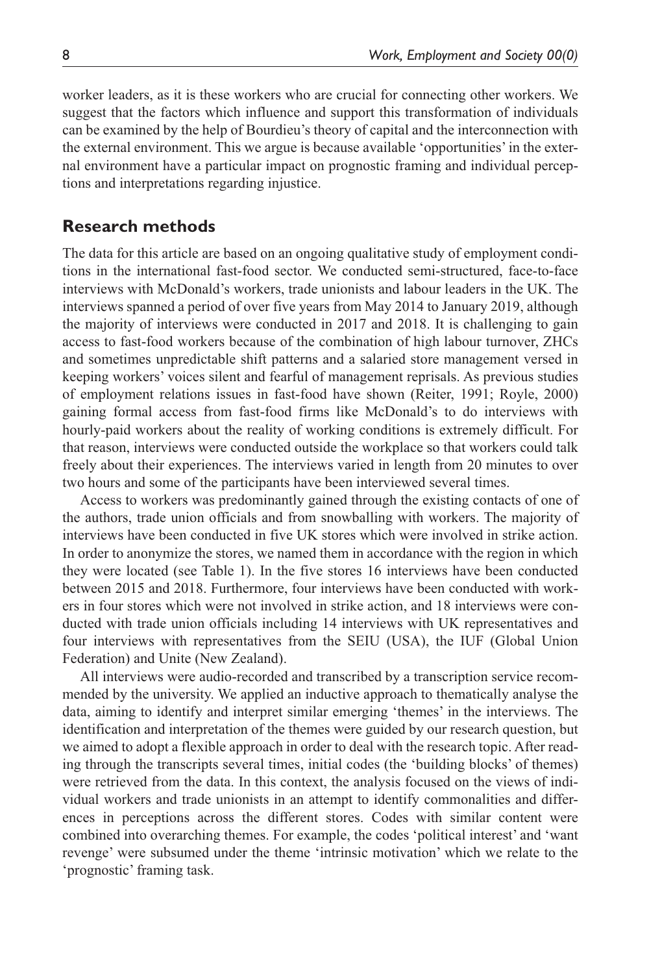worker leaders, as it is these workers who are crucial for connecting other workers. We suggest that the factors which influence and support this transformation of individuals can be examined by the help of Bourdieu's theory of capital and the interconnection with the external environment. This we argue is because available 'opportunities' in the external environment have a particular impact on prognostic framing and individual perceptions and interpretations regarding injustice.

## **Research methods**

The data for this article are based on an ongoing qualitative study of employment conditions in the international fast-food sector. We conducted semi-structured, face-to-face interviews with McDonald's workers, trade unionists and labour leaders in the UK. The interviews spanned a period of over five years from May 2014 to January 2019, although the majority of interviews were conducted in 2017 and 2018. It is challenging to gain access to fast-food workers because of the combination of high labour turnover, ZHCs and sometimes unpredictable shift patterns and a salaried store management versed in keeping workers' voices silent and fearful of management reprisals. As previous studies of employment relations issues in fast-food have shown (Reiter, 1991; Royle, 2000) gaining formal access from fast-food firms like McDonald's to do interviews with hourly-paid workers about the reality of working conditions is extremely difficult. For that reason, interviews were conducted outside the workplace so that workers could talk freely about their experiences. The interviews varied in length from 20 minutes to over two hours and some of the participants have been interviewed several times.

Access to workers was predominantly gained through the existing contacts of one of the authors, trade union officials and from snowballing with workers. The majority of interviews have been conducted in five UK stores which were involved in strike action. In order to anonymize the stores, we named them in accordance with the region in which they were located (see Table 1). In the five stores 16 interviews have been conducted between 2015 and 2018. Furthermore, four interviews have been conducted with workers in four stores which were not involved in strike action, and 18 interviews were conducted with trade union officials including 14 interviews with UK representatives and four interviews with representatives from the SEIU (USA), the IUF (Global Union Federation) and Unite (New Zealand).

All interviews were audio-recorded and transcribed by a transcription service recommended by the university. We applied an inductive approach to thematically analyse the data, aiming to identify and interpret similar emerging 'themes' in the interviews. The identification and interpretation of the themes were guided by our research question, but we aimed to adopt a flexible approach in order to deal with the research topic. After reading through the transcripts several times, initial codes (the 'building blocks' of themes) were retrieved from the data. In this context, the analysis focused on the views of individual workers and trade unionists in an attempt to identify commonalities and differences in perceptions across the different stores. Codes with similar content were combined into overarching themes. For example, the codes 'political interest' and 'want revenge' were subsumed under the theme 'intrinsic motivation' which we relate to the 'prognostic' framing task.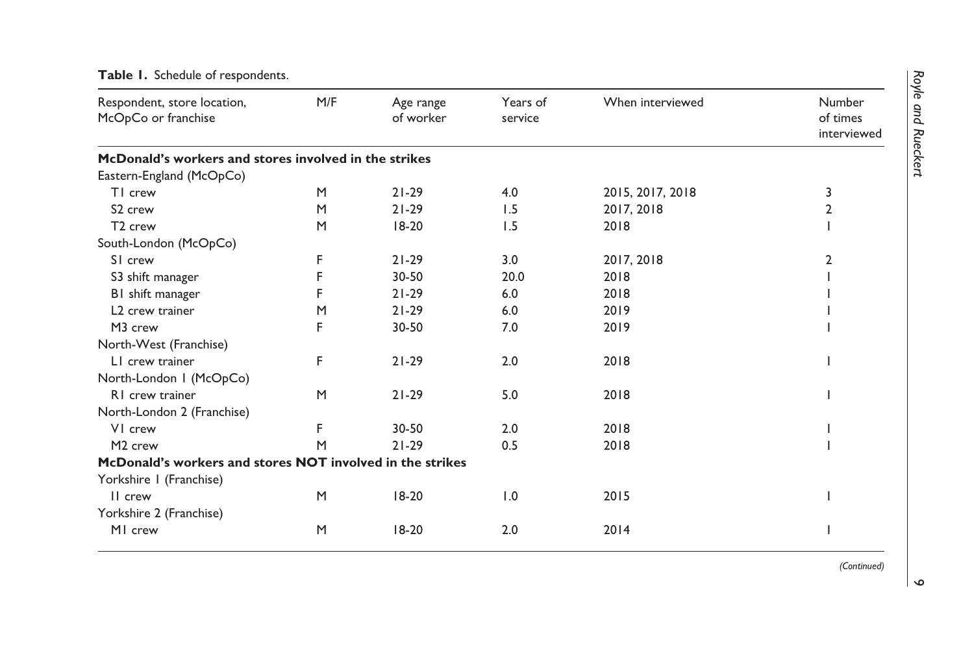| Respondent, store location,<br>McOpCo or franchise        | M/F | Age range<br>of worker | Years of<br>service | When interviewed | Number<br>of times<br>interviewed |
|-----------------------------------------------------------|-----|------------------------|---------------------|------------------|-----------------------------------|
| McDonald's workers and stores involved in the strikes     |     |                        |                     |                  |                                   |
| Eastern-England (McOpCo)                                  |     |                        |                     |                  |                                   |
| TI crew                                                   | M   | $21 - 29$              | 4.0                 | 2015, 2017, 2018 | 3                                 |
| S <sub>2</sub> crew                                       | M   | $21 - 29$              | 1.5                 | 2017, 2018       | 2                                 |
| T <sub>2</sub> crew                                       | M   | $18-20$                | 1.5                 | 2018             |                                   |
| South-London (McOpCo)                                     |     |                        |                     |                  |                                   |
| SI crew                                                   | F   | $21 - 29$              | 3.0                 | 2017, 2018       | $\overline{2}$                    |
| S3 shift manager                                          |     | 30-50                  | 20.0                | 2018             |                                   |
| BI shift manager                                          |     | $21 - 29$              | 6.0                 | 2018             |                                   |
| L <sub>2</sub> crew trainer                               | M   | $21 - 29$              | 6.0                 | 2019             |                                   |
| M3 crew                                                   | F   | 30-50                  | 7.0                 | 2019             |                                   |
| North-West (Franchise)                                    |     |                        |                     |                  |                                   |
| L1 crew trainer                                           | F   | $21 - 29$              | 2.0                 | 2018             |                                   |
| North-London I (McOpCo)                                   |     |                        |                     |                  |                                   |
| RI crew trainer                                           | M   | $21 - 29$              | 5.0                 | 2018             |                                   |
| North-London 2 (Franchise)                                |     |                        |                     |                  |                                   |
| VI crew                                                   | F   | $30 - 50$              | 2.0                 | 2018             |                                   |
| M <sub>2</sub> crew                                       | M   | $21 - 29$              | 0.5                 | 2018             |                                   |
| McDonald's workers and stores NOT involved in the strikes |     |                        |                     |                  |                                   |
| Yorkshire I (Franchise)                                   |     |                        |                     |                  |                                   |
| II crew                                                   | M   | $18-20$                | 1.0                 | 2015             |                                   |
| Yorkshire 2 (Franchise)                                   |     |                        |                     |                  |                                   |
| MI crew                                                   | M   | $18-20$                | 2.0                 | 2014             |                                   |

# **Table 1.** Schedule of respondents.

*(Continued)*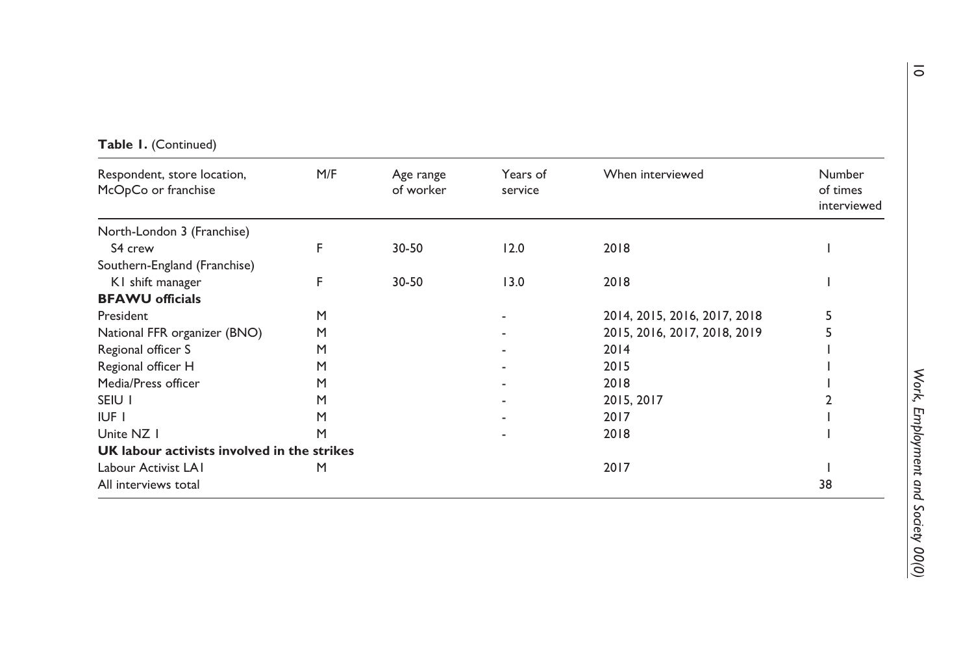| Respondent, store location,<br>McOpCo or franchise | M/F | Age range<br>of worker | Years of<br>service | When interviewed             | Number<br>of times<br>interviewed |
|----------------------------------------------------|-----|------------------------|---------------------|------------------------------|-----------------------------------|
| North-London 3 (Franchise)                         |     |                        |                     |                              |                                   |
| S4 crew                                            | F   | 30-50                  | 12.0                | 2018                         |                                   |
| Southern-England (Franchise)                       |     |                        |                     |                              |                                   |
| KI shift manager                                   | F   | $30 - 50$              | 13.0                | 2018                         |                                   |
| <b>BFAWU</b> officials                             |     |                        |                     |                              |                                   |
| President                                          | M   |                        |                     | 2014, 2015, 2016, 2017, 2018 | 5                                 |
| National FFR organizer (BNO)                       | M   |                        |                     | 2015, 2016, 2017, 2018, 2019 | 5                                 |
| Regional officer S                                 | M   |                        |                     | 2014                         |                                   |
| Regional officer H                                 | M   |                        |                     | 2015                         |                                   |
| Media/Press officer                                | M   |                        |                     | 2018                         |                                   |
| SEIU I                                             | M   |                        |                     | 2015, 2017                   |                                   |
| IUF I                                              | M   |                        |                     | 2017                         |                                   |
| Unite NZ I                                         | M   |                        |                     | 2018                         |                                   |
| UK labour activists involved in the strikes        |     |                        |                     |                              |                                   |
| Labour Activist LAI                                | M   |                        |                     | 2017                         |                                   |
| All interviews total                               |     |                        |                     |                              | 38                                |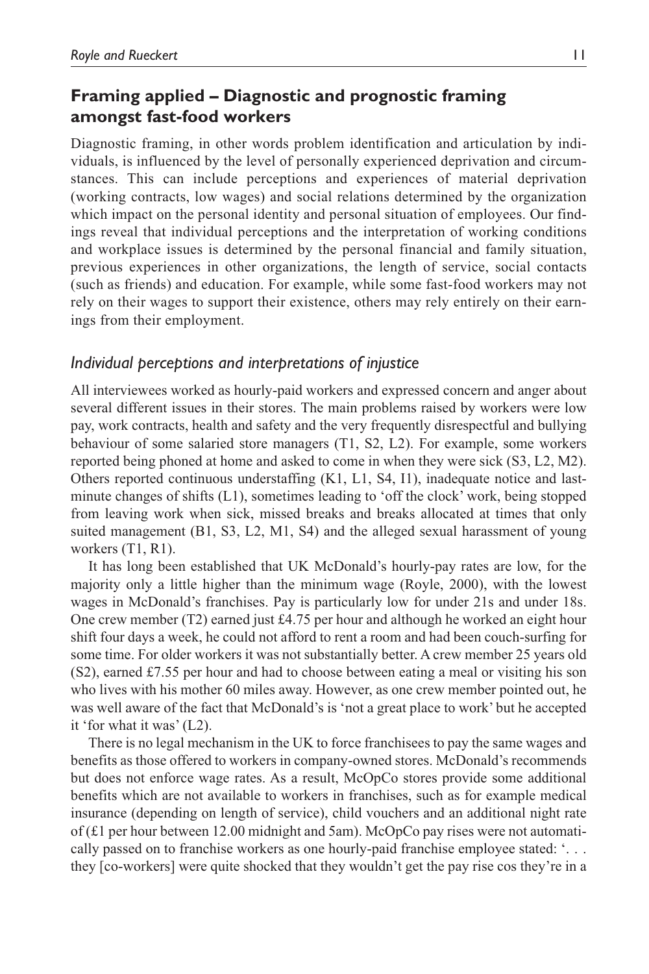# **Framing applied – Diagnostic and prognostic framing amongst fast-food workers**

Diagnostic framing, in other words problem identification and articulation by individuals, is influenced by the level of personally experienced deprivation and circumstances. This can include perceptions and experiences of material deprivation (working contracts, low wages) and social relations determined by the organization which impact on the personal identity and personal situation of employees. Our findings reveal that individual perceptions and the interpretation of working conditions and workplace issues is determined by the personal financial and family situation, previous experiences in other organizations, the length of service, social contacts (such as friends) and education. For example, while some fast-food workers may not rely on their wages to support their existence, others may rely entirely on their earnings from their employment.

# *Individual perceptions and interpretations of injustice*

All interviewees worked as hourly-paid workers and expressed concern and anger about several different issues in their stores. The main problems raised by workers were low pay, work contracts, health and safety and the very frequently disrespectful and bullying behaviour of some salaried store managers (T1, S2, L2). For example, some workers reported being phoned at home and asked to come in when they were sick (S3, L2, M2). Others reported continuous understaffing (K1, L1, S4, I1), inadequate notice and lastminute changes of shifts (L1), sometimes leading to 'off the clock' work, being stopped from leaving work when sick, missed breaks and breaks allocated at times that only suited management (B1, S3, L2, M1, S4) and the alleged sexual harassment of young workers (T1, R1).

It has long been established that UK McDonald's hourly-pay rates are low, for the majority only a little higher than the minimum wage (Royle, 2000), with the lowest wages in McDonald's franchises. Pay is particularly low for under 21s and under 18s. One crew member (T2) earned just  $\text{\pounds}4.75$  per hour and although he worked an eight hour shift four days a week, he could not afford to rent a room and had been couch-surfing for some time. For older workers it was not substantially better. A crew member 25 years old (S2), earned £7.55 per hour and had to choose between eating a meal or visiting his son who lives with his mother 60 miles away. However, as one crew member pointed out, he was well aware of the fact that McDonald's is 'not a great place to work' but he accepted it 'for what it was' (L2).

There is no legal mechanism in the UK to force franchisees to pay the same wages and benefits as those offered to workers in company-owned stores. McDonald's recommends but does not enforce wage rates. As a result, McOpCo stores provide some additional benefits which are not available to workers in franchises, such as for example medical insurance (depending on length of service), child vouchers and an additional night rate of (£1 per hour between 12.00 midnight and 5am). McOpCo pay rises were not automatically passed on to franchise workers as one hourly-paid franchise employee stated: '. . . they [co-workers] were quite shocked that they wouldn't get the pay rise cos they're in a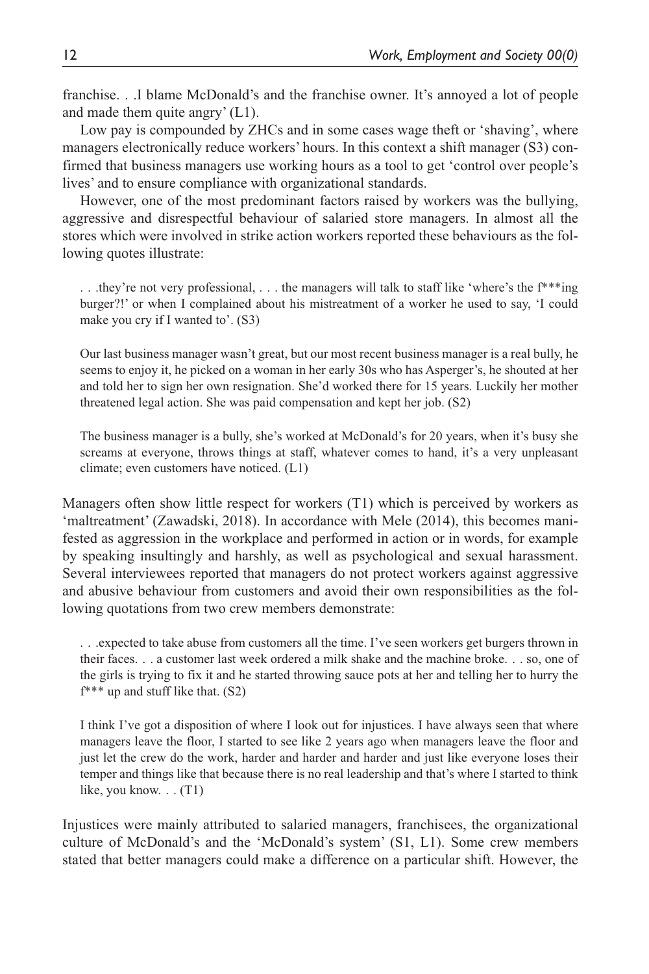franchise. . .I blame McDonald's and the franchise owner. It's annoyed a lot of people and made them quite angry' (L1).

Low pay is compounded by ZHCs and in some cases wage theft or 'shaving', where managers electronically reduce workers' hours. In this context a shift manager (S3) confirmed that business managers use working hours as a tool to get 'control over people's lives' and to ensure compliance with organizational standards.

However, one of the most predominant factors raised by workers was the bullying, aggressive and disrespectful behaviour of salaried store managers. In almost all the stores which were involved in strike action workers reported these behaviours as the following quotes illustrate:

.. .they're not very professional, ... the managers will talk to staff like 'where's the  $f^{**}$ 'ing burger?!' or when I complained about his mistreatment of a worker he used to say, 'I could make you cry if I wanted to'. (S3)

Our last business manager wasn't great, but our most recent business manager is a real bully, he seems to enjoy it, he picked on a woman in her early 30s who has Asperger's, he shouted at her and told her to sign her own resignation. She'd worked there for 15 years. Luckily her mother threatened legal action. She was paid compensation and kept her job. (S2)

The business manager is a bully, she's worked at McDonald's for 20 years, when it's busy she screams at everyone, throws things at staff, whatever comes to hand, it's a very unpleasant climate; even customers have noticed. (L1)

Managers often show little respect for workers (T1) which is perceived by workers as 'maltreatment' (Zawadski, 2018). In accordance with Mele (2014), this becomes manifested as aggression in the workplace and performed in action or in words, for example by speaking insultingly and harshly, as well as psychological and sexual harassment. Several interviewees reported that managers do not protect workers against aggressive and abusive behaviour from customers and avoid their own responsibilities as the following quotations from two crew members demonstrate:

. . .expected to take abuse from customers all the time. I've seen workers get burgers thrown in their faces. . . a customer last week ordered a milk shake and the machine broke. . . so, one of the girls is trying to fix it and he started throwing sauce pots at her and telling her to hurry the f\*\*\* up and stuff like that. (S2)

I think I've got a disposition of where I look out for injustices. I have always seen that where managers leave the floor, I started to see like 2 years ago when managers leave the floor and just let the crew do the work, harder and harder and harder and just like everyone loses their temper and things like that because there is no real leadership and that's where I started to think like, you know. . . (T1)

Injustices were mainly attributed to salaried managers, franchisees, the organizational culture of McDonald's and the 'McDonald's system' (S1, L1). Some crew members stated that better managers could make a difference on a particular shift. However, the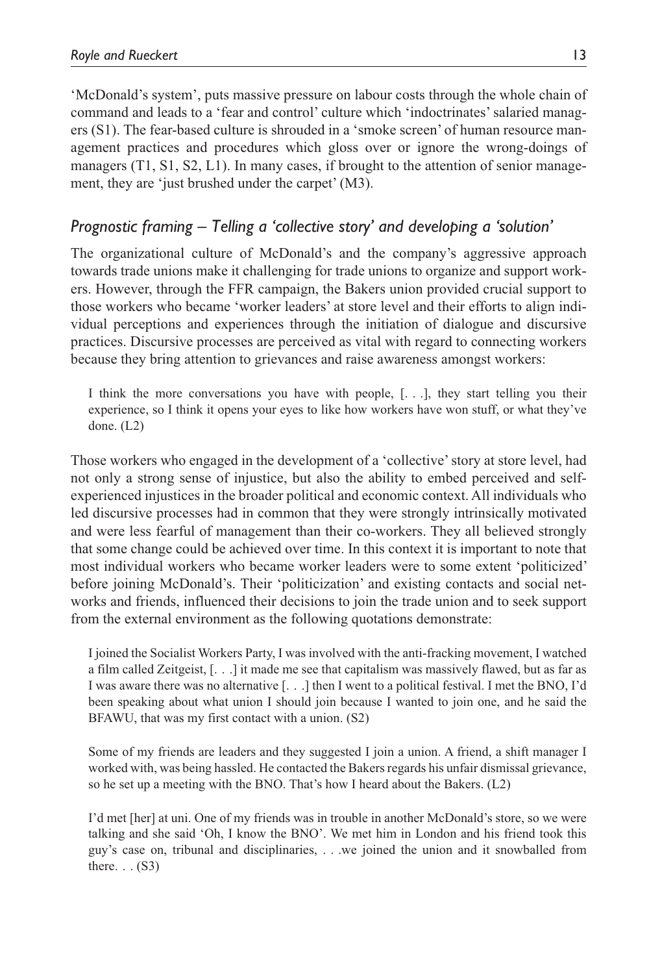'McDonald's system', puts massive pressure on labour costs through the whole chain of command and leads to a 'fear and control' culture which 'indoctrinates' salaried managers (S1). The fear-based culture is shrouded in a 'smoke screen' of human resource management practices and procedures which gloss over or ignore the wrong-doings of managers (T1, S1, S2, L1). In many cases, if brought to the attention of senior management, they are 'just brushed under the carpet' (M3).

# *Prognostic framing – Telling a 'collective story' and developing a 'solution'*

The organizational culture of McDonald's and the company's aggressive approach towards trade unions make it challenging for trade unions to organize and support workers. However, through the FFR campaign, the Bakers union provided crucial support to those workers who became 'worker leaders' at store level and their efforts to align individual perceptions and experiences through the initiation of dialogue and discursive practices. Discursive processes are perceived as vital with regard to connecting workers because they bring attention to grievances and raise awareness amongst workers:

I think the more conversations you have with people, [. . .], they start telling you their experience, so I think it opens your eyes to like how workers have won stuff, or what they've done. (L2)

Those workers who engaged in the development of a 'collective' story at store level, had not only a strong sense of injustice, but also the ability to embed perceived and selfexperienced injustices in the broader political and economic context. All individuals who led discursive processes had in common that they were strongly intrinsically motivated and were less fearful of management than their co-workers. They all believed strongly that some change could be achieved over time. In this context it is important to note that most individual workers who became worker leaders were to some extent 'politicized' before joining McDonald's. Their 'politicization' and existing contacts and social networks and friends, influenced their decisions to join the trade union and to seek support from the external environment as the following quotations demonstrate:

I joined the Socialist Workers Party, I was involved with the anti-fracking movement, I watched a film called Zeitgeist, [. . .] it made me see that capitalism was massively flawed, but as far as I was aware there was no alternative [. . .] then I went to a political festival. I met the BNO, I'd been speaking about what union I should join because I wanted to join one, and he said the BFAWU, that was my first contact with a union. (S2)

Some of my friends are leaders and they suggested I join a union. A friend, a shift manager I worked with, was being hassled. He contacted the Bakers regards his unfair dismissal grievance, so he set up a meeting with the BNO. That's how I heard about the Bakers. (L2)

I'd met [her] at uni. One of my friends was in trouble in another McDonald's store, so we were talking and she said 'Oh, I know the BNO'. We met him in London and his friend took this guy's case on, tribunal and disciplinaries, . . .we joined the union and it snowballed from there.  $\ldots$  (S3)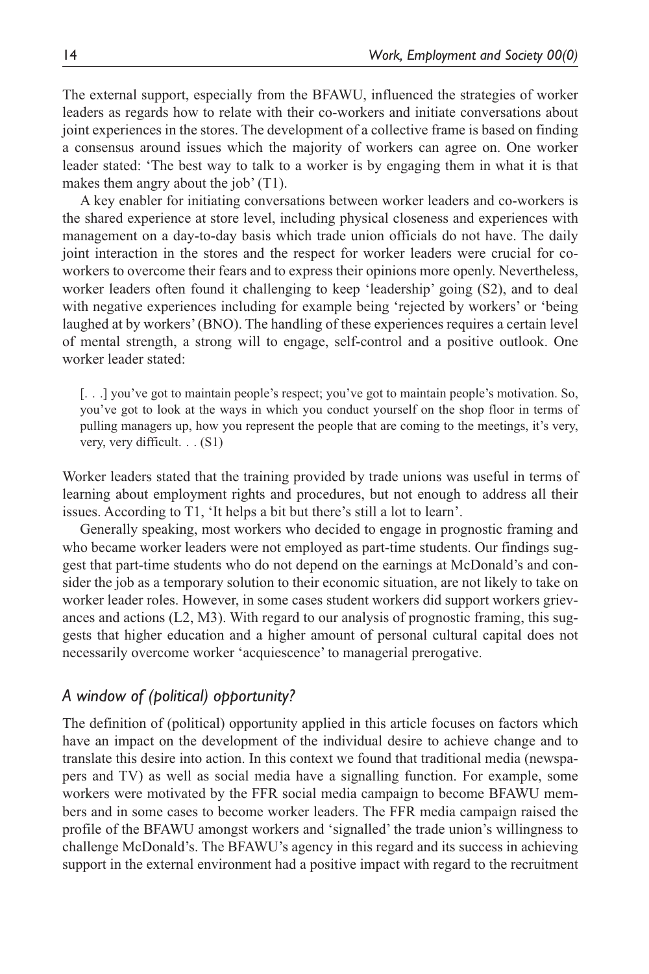The external support, especially from the BFAWU, influenced the strategies of worker leaders as regards how to relate with their co-workers and initiate conversations about joint experiences in the stores. The development of a collective frame is based on finding a consensus around issues which the majority of workers can agree on. One worker leader stated: 'The best way to talk to a worker is by engaging them in what it is that makes them angry about the job' (T1).

A key enabler for initiating conversations between worker leaders and co-workers is the shared experience at store level, including physical closeness and experiences with management on a day-to-day basis which trade union officials do not have. The daily joint interaction in the stores and the respect for worker leaders were crucial for coworkers to overcome their fears and to express their opinions more openly. Nevertheless, worker leaders often found it challenging to keep 'leadership' going (S2), and to deal with negative experiences including for example being 'rejected by workers' or 'being laughed at by workers' (BNO). The handling of these experiences requires a certain level of mental strength, a strong will to engage, self-control and a positive outlook. One worker leader stated:

[. . .] you've got to maintain people's respect; you've got to maintain people's motivation. So, you've got to look at the ways in which you conduct yourself on the shop floor in terms of pulling managers up, how you represent the people that are coming to the meetings, it's very, very, very difficult. . . (S1)

Worker leaders stated that the training provided by trade unions was useful in terms of learning about employment rights and procedures, but not enough to address all their issues. According to T1, 'It helps a bit but there's still a lot to learn'.

Generally speaking, most workers who decided to engage in prognostic framing and who became worker leaders were not employed as part-time students. Our findings suggest that part-time students who do not depend on the earnings at McDonald's and consider the job as a temporary solution to their economic situation, are not likely to take on worker leader roles. However, in some cases student workers did support workers grievances and actions (L2, M3). With regard to our analysis of prognostic framing, this suggests that higher education and a higher amount of personal cultural capital does not necessarily overcome worker 'acquiescence' to managerial prerogative.

## *A window of (political) opportunity?*

The definition of (political) opportunity applied in this article focuses on factors which have an impact on the development of the individual desire to achieve change and to translate this desire into action. In this context we found that traditional media (newspapers and TV) as well as social media have a signalling function. For example, some workers were motivated by the FFR social media campaign to become BFAWU members and in some cases to become worker leaders. The FFR media campaign raised the profile of the BFAWU amongst workers and 'signalled' the trade union's willingness to challenge McDonald's. The BFAWU's agency in this regard and its success in achieving support in the external environment had a positive impact with regard to the recruitment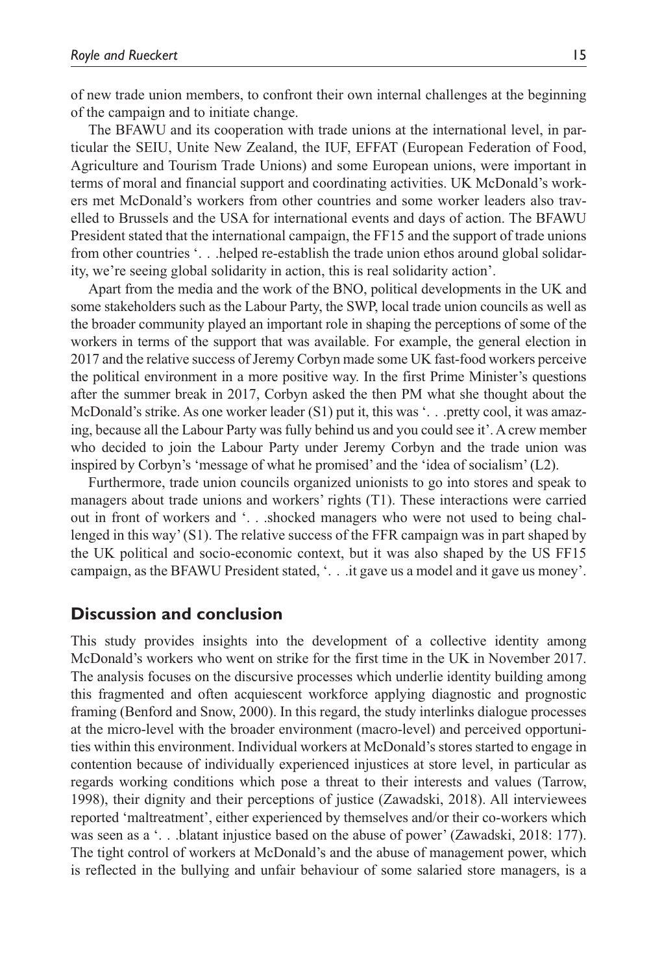of new trade union members, to confront their own internal challenges at the beginning of the campaign and to initiate change.

The BFAWU and its cooperation with trade unions at the international level, in particular the SEIU, Unite New Zealand, the IUF, EFFAT (European Federation of Food, Agriculture and Tourism Trade Unions) and some European unions, were important in terms of moral and financial support and coordinating activities. UK McDonald's workers met McDonald's workers from other countries and some worker leaders also travelled to Brussels and the USA for international events and days of action. The BFAWU President stated that the international campaign, the FF15 and the support of trade unions from other countries '. . .helped re-establish the trade union ethos around global solidarity, we're seeing global solidarity in action, this is real solidarity action'.

Apart from the media and the work of the BNO, political developments in the UK and some stakeholders such as the Labour Party, the SWP, local trade union councils as well as the broader community played an important role in shaping the perceptions of some of the workers in terms of the support that was available. For example, the general election in 2017 and the relative success of Jeremy Corbyn made some UK fast-food workers perceive the political environment in a more positive way. In the first Prime Minister's questions after the summer break in 2017, Corbyn asked the then PM what she thought about the McDonald's strike. As one worker leader (S1) put it, this was '... pretty cool, it was amazing, because all the Labour Party was fully behind us and you could see it'. A crew member who decided to join the Labour Party under Jeremy Corbyn and the trade union was inspired by Corbyn's 'message of what he promised' and the 'idea of socialism' (L2).

Furthermore, trade union councils organized unionists to go into stores and speak to managers about trade unions and workers' rights (T1). These interactions were carried out in front of workers and '. . .shocked managers who were not used to being challenged in this way' (S1). The relative success of the FFR campaign was in part shaped by the UK political and socio-economic context, but it was also shaped by the US FF15 campaign, as the BFAWU President stated, '. . .it gave us a model and it gave us money'.

### **Discussion and conclusion**

This study provides insights into the development of a collective identity among McDonald's workers who went on strike for the first time in the UK in November 2017. The analysis focuses on the discursive processes which underlie identity building among this fragmented and often acquiescent workforce applying diagnostic and prognostic framing (Benford and Snow, 2000). In this regard, the study interlinks dialogue processes at the micro-level with the broader environment (macro-level) and perceived opportunities within this environment. Individual workers at McDonald's stores started to engage in contention because of individually experienced injustices at store level, in particular as regards working conditions which pose a threat to their interests and values (Tarrow, 1998), their dignity and their perceptions of justice (Zawadski, 2018). All interviewees reported 'maltreatment', either experienced by themselves and/or their co-workers which was seen as a '...blatant injustice based on the abuse of power' (Zawadski, 2018: 177). The tight control of workers at McDonald's and the abuse of management power, which is reflected in the bullying and unfair behaviour of some salaried store managers, is a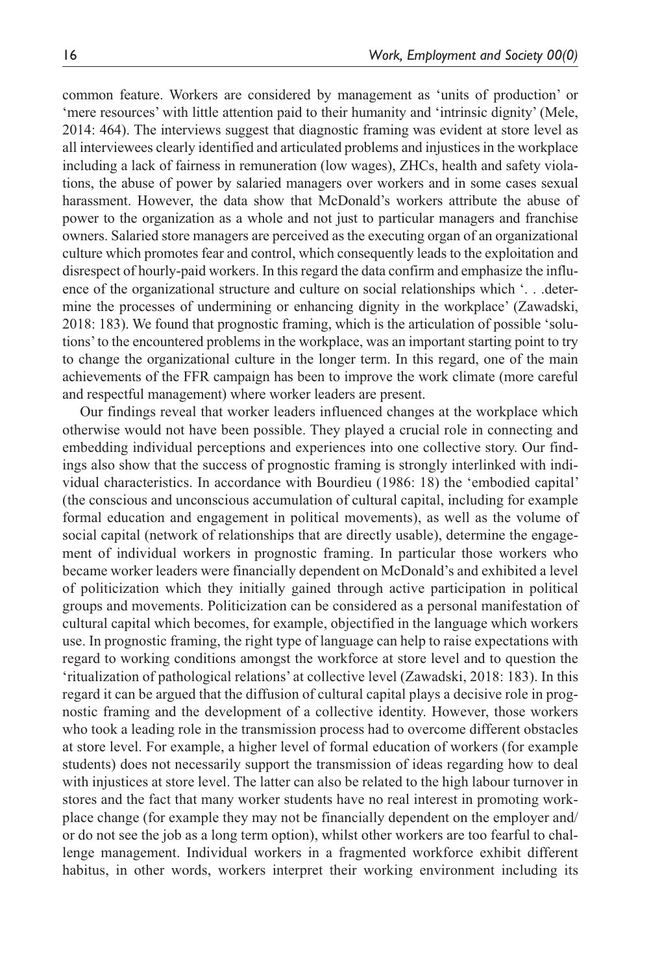common feature. Workers are considered by management as 'units of production' or 'mere resources' with little attention paid to their humanity and 'intrinsic dignity' (Mele, 2014: 464). The interviews suggest that diagnostic framing was evident at store level as all interviewees clearly identified and articulated problems and injustices in the workplace including a lack of fairness in remuneration (low wages), ZHCs, health and safety violations, the abuse of power by salaried managers over workers and in some cases sexual harassment. However, the data show that McDonald's workers attribute the abuse of power to the organization as a whole and not just to particular managers and franchise owners. Salaried store managers are perceived as the executing organ of an organizational culture which promotes fear and control, which consequently leads to the exploitation and disrespect of hourly-paid workers. In this regard the data confirm and emphasize the influence of the organizational structure and culture on social relationships which '. . .determine the processes of undermining or enhancing dignity in the workplace' (Zawadski, 2018: 183). We found that prognostic framing, which is the articulation of possible 'solutions' to the encountered problems in the workplace, was an important starting point to try to change the organizational culture in the longer term. In this regard, one of the main achievements of the FFR campaign has been to improve the work climate (more careful and respectful management) where worker leaders are present.

Our findings reveal that worker leaders influenced changes at the workplace which otherwise would not have been possible. They played a crucial role in connecting and embedding individual perceptions and experiences into one collective story. Our findings also show that the success of prognostic framing is strongly interlinked with individual characteristics. In accordance with Bourdieu (1986: 18) the 'embodied capital' (the conscious and unconscious accumulation of cultural capital, including for example formal education and engagement in political movements), as well as the volume of social capital (network of relationships that are directly usable), determine the engagement of individual workers in prognostic framing. In particular those workers who became worker leaders were financially dependent on McDonald's and exhibited a level of politicization which they initially gained through active participation in political groups and movements. Politicization can be considered as a personal manifestation of cultural capital which becomes, for example, objectified in the language which workers use. In prognostic framing, the right type of language can help to raise expectations with regard to working conditions amongst the workforce at store level and to question the 'ritualization of pathological relations' at collective level (Zawadski, 2018: 183). In this regard it can be argued that the diffusion of cultural capital plays a decisive role in prognostic framing and the development of a collective identity. However, those workers who took a leading role in the transmission process had to overcome different obstacles at store level. For example, a higher level of formal education of workers (for example students) does not necessarily support the transmission of ideas regarding how to deal with injustices at store level. The latter can also be related to the high labour turnover in stores and the fact that many worker students have no real interest in promoting workplace change (for example they may not be financially dependent on the employer and/ or do not see the job as a long term option), whilst other workers are too fearful to challenge management. Individual workers in a fragmented workforce exhibit different habitus, in other words, workers interpret their working environment including its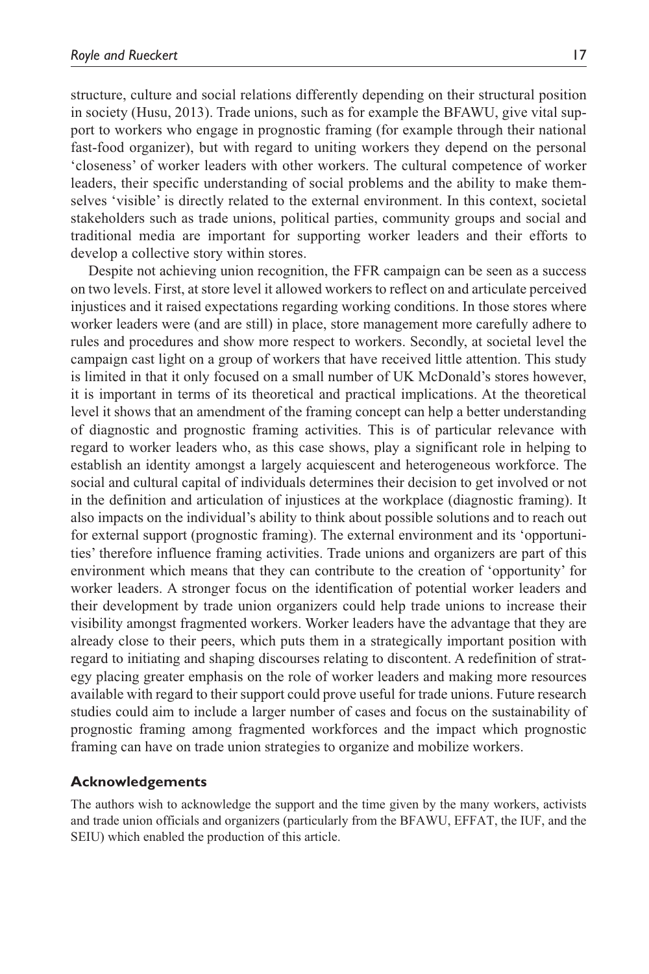structure, culture and social relations differently depending on their structural position in society (Husu, 2013). Trade unions, such as for example the BFAWU, give vital support to workers who engage in prognostic framing (for example through their national fast-food organizer), but with regard to uniting workers they depend on the personal 'closeness' of worker leaders with other workers. The cultural competence of worker leaders, their specific understanding of social problems and the ability to make themselves 'visible' is directly related to the external environment. In this context, societal stakeholders such as trade unions, political parties, community groups and social and traditional media are important for supporting worker leaders and their efforts to develop a collective story within stores.

Despite not achieving union recognition, the FFR campaign can be seen as a success on two levels. First, at store level it allowed workers to reflect on and articulate perceived injustices and it raised expectations regarding working conditions. In those stores where worker leaders were (and are still) in place, store management more carefully adhere to rules and procedures and show more respect to workers. Secondly, at societal level the campaign cast light on a group of workers that have received little attention. This study is limited in that it only focused on a small number of UK McDonald's stores however, it is important in terms of its theoretical and practical implications. At the theoretical level it shows that an amendment of the framing concept can help a better understanding of diagnostic and prognostic framing activities. This is of particular relevance with regard to worker leaders who, as this case shows, play a significant role in helping to establish an identity amongst a largely acquiescent and heterogeneous workforce. The social and cultural capital of individuals determines their decision to get involved or not in the definition and articulation of injustices at the workplace (diagnostic framing). It also impacts on the individual's ability to think about possible solutions and to reach out for external support (prognostic framing). The external environment and its 'opportunities' therefore influence framing activities. Trade unions and organizers are part of this environment which means that they can contribute to the creation of 'opportunity' for worker leaders. A stronger focus on the identification of potential worker leaders and their development by trade union organizers could help trade unions to increase their visibility amongst fragmented workers. Worker leaders have the advantage that they are already close to their peers, which puts them in a strategically important position with regard to initiating and shaping discourses relating to discontent. A redefinition of strategy placing greater emphasis on the role of worker leaders and making more resources available with regard to their support could prove useful for trade unions. Future research studies could aim to include a larger number of cases and focus on the sustainability of prognostic framing among fragmented workforces and the impact which prognostic framing can have on trade union strategies to organize and mobilize workers.

### **Acknowledgements**

The authors wish to acknowledge the support and the time given by the many workers, activists and trade union officials and organizers (particularly from the BFAWU, EFFAT, the IUF, and the SEIU) which enabled the production of this article.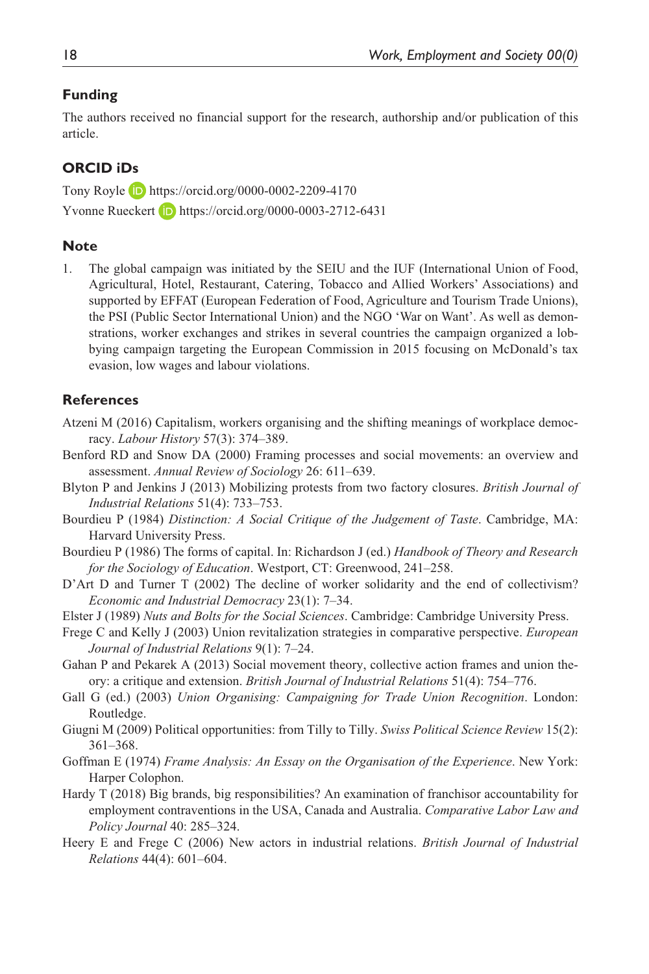### **Funding**

The authors received no financial support for the research, authorship and/or publication of this article.

### **ORCID iDs**

Tony Royle https://orcid.org/0000-0002-2209-4170 Yvonne Rueckert **iD** https://orcid.org/0000-0003-2712-6431

### **Note**

1. The global campaign was initiated by the SEIU and the IUF (International Union of Food, Agricultural, Hotel, Restaurant, Catering, Tobacco and Allied Workers' Associations) and supported by EFFAT (European Federation of Food, Agriculture and Tourism Trade Unions), the PSI (Public Sector International Union) and the NGO 'War on Want'. As well as demonstrations, worker exchanges and strikes in several countries the campaign organized a lobbying campaign targeting the European Commission in 2015 focusing on McDonald's tax evasion, low wages and labour violations.

### **References**

- Atzeni M (2016) Capitalism, workers organising and the shifting meanings of workplace democracy. *Labour History* 57(3): 374–389.
- Benford RD and Snow DA (2000) Framing processes and social movements: an overview and assessment. *Annual Review of Sociology* 26: 611–639.
- Blyton P and Jenkins J (2013) Mobilizing protests from two factory closures. *British Journal of Industrial Relations* 51(4): 733–753.
- Bourdieu P (1984) *Distinction: A Social Critique of the Judgement of Taste*. Cambridge, MA: Harvard University Press.
- Bourdieu P (1986) The forms of capital. In: Richardson J (ed.) *Handbook of Theory and Research for the Sociology of Education*. Westport, CT: Greenwood, 241–258.
- D'Art D and Turner T (2002) The decline of worker solidarity and the end of collectivism? *Economic and Industrial Democracy* 23(1): 7–34.
- Elster J (1989) *Nuts and Bolts for the Social Sciences*. Cambridge: Cambridge University Press.
- Frege C and Kelly J (2003) Union revitalization strategies in comparative perspective. *European Journal of Industrial Relations* 9(1): 7–24.
- Gahan P and Pekarek A (2013) Social movement theory, collective action frames and union theory: a critique and extension. *British Journal of Industrial Relations* 51(4): 754–776.
- Gall G (ed.) (2003) *Union Organising: Campaigning for Trade Union Recognition*. London: Routledge.
- Giugni M (2009) Political opportunities: from Tilly to Tilly. *Swiss Political Science Review* 15(2): 361–368.
- Goffman E (1974) *Frame Analysis: An Essay on the Organisation of the Experience*. New York: Harper Colophon.
- Hardy T (2018) Big brands, big responsibilities? An examination of franchisor accountability for employment contraventions in the USA, Canada and Australia. *Comparative Labor Law and Policy Journal* 40: 285–324.
- Heery E and Frege C (2006) New actors in industrial relations. *British Journal of Industrial Relations* 44(4): 601–604.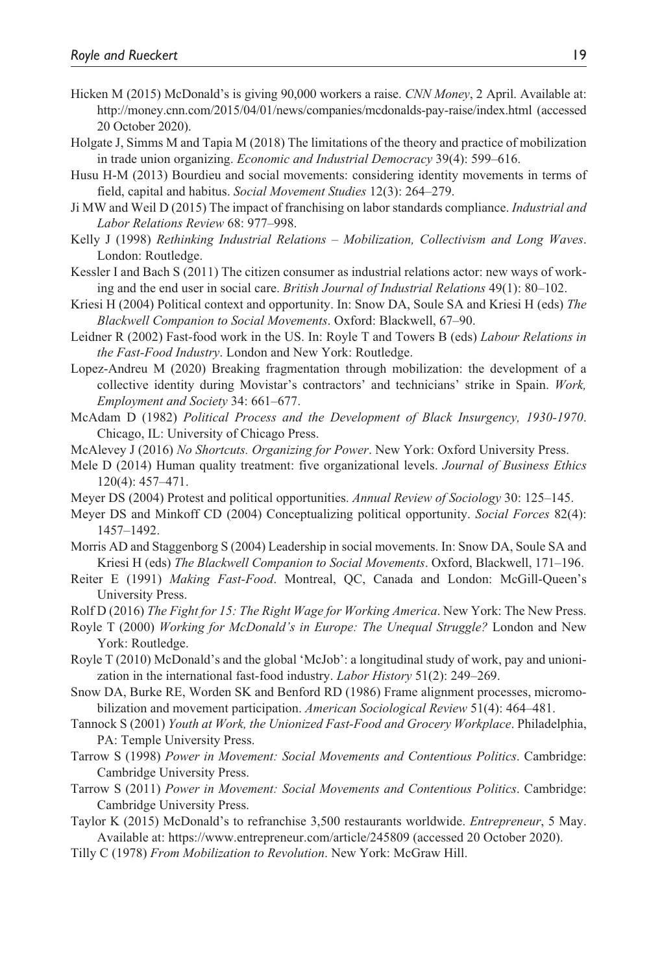- Hicken M (2015) McDonald's is giving 90,000 workers a raise. *CNN Money*, 2 April. Available at: http://money.cnn.com/2015/04/01/news/companies/mcdonalds-pay-raise/index.html (accessed 20 October 2020).
- Holgate J, Simms M and Tapia M (2018) The limitations of the theory and practice of mobilization in trade union organizing. *Economic and Industrial Democracy* 39(4): 599–616.
- Husu H-M (2013) Bourdieu and social movements: considering identity movements in terms of field, capital and habitus. *Social Movement Studies* 12(3): 264–279.
- Ji MW and Weil D (2015) The impact of franchising on labor standards compliance. *Industrial and Labor Relations Review* 68: 977–998.
- Kelly J (1998) *Rethinking Industrial Relations Mobilization, Collectivism and Long Waves*. London: Routledge.
- Kessler I and Bach S (2011) The citizen consumer as industrial relations actor: new ways of working and the end user in social care. *British Journal of Industrial Relations* 49(1): 80–102.
- Kriesi H (2004) Political context and opportunity. In: Snow DA, Soule SA and Kriesi H (eds) *The Blackwell Companion to Social Movements*. Oxford: Blackwell, 67–90.
- Leidner R (2002) Fast-food work in the US. In: Royle T and Towers B (eds) *Labour Relations in the Fast-Food Industry*. London and New York: Routledge.
- Lopez-Andreu M (2020) Breaking fragmentation through mobilization: the development of a collective identity during Movistar's contractors' and technicians' strike in Spain. *Work, Employment and Society* 34: 661–677.
- McAdam D (1982) *Political Process and the Development of Black Insurgency, 1930-1970*. Chicago, IL: University of Chicago Press.
- McAlevey J (2016) *No Shortcuts. Organizing for Power*. New York: Oxford University Press.
- Mele D (2014) Human quality treatment: five organizational levels. *Journal of Business Ethics* 120(4): 457–471.
- Meyer DS (2004) Protest and political opportunities. *Annual Review of Sociology* 30: 125–145.
- Meyer DS and Minkoff CD (2004) Conceptualizing political opportunity. *Social Forces* 82(4): 1457–1492.
- Morris AD and Staggenborg S (2004) Leadership in social movements. In: Snow DA, Soule SA and Kriesi H (eds) *The Blackwell Companion to Social Movements*. Oxford, Blackwell, 171–196.
- Reiter E (1991) *Making Fast-Food*. Montreal, QC, Canada and London: McGill-Queen's University Press.
- Rolf D (2016) *The Fight for 15: The Right Wage for Working America*. New York: The New Press.
- Royle T (2000) *Working for McDonald's in Europe: The Unequal Struggle?* London and New York: Routledge.
- Royle T (2010) McDonald's and the global 'McJob': a longitudinal study of work, pay and unionization in the international fast-food industry. *Labor History* 51(2): 249–269.
- Snow DA, Burke RE, Worden SK and Benford RD (1986) Frame alignment processes, micromobilization and movement participation. *American Sociological Review* 51(4): 464–481.
- Tannock S (2001) *Youth at Work, the Unionized Fast-Food and Grocery Workplace*. Philadelphia, PA: Temple University Press.
- Tarrow S (1998) *Power in Movement: Social Movements and Contentious Politics*. Cambridge: Cambridge University Press.
- Tarrow S (2011) *Power in Movement: Social Movements and Contentious Politics*. Cambridge: Cambridge University Press.
- Taylor K (2015) McDonald's to refranchise 3,500 restaurants worldwide. *Entrepreneur*, 5 May. Available at: https://www.entrepreneur.com/article/245809 (accessed 20 October 2020).
- Tilly C (1978) *From Mobilization to Revolution*. New York: McGraw Hill.